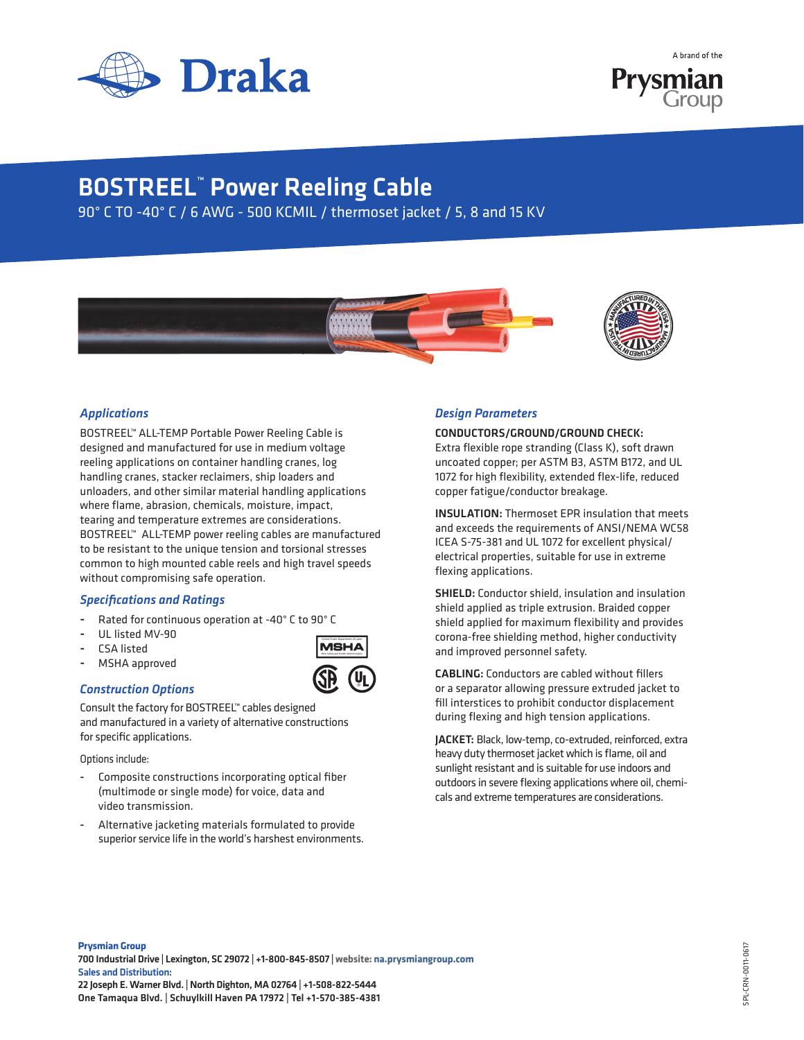

A brand of the Prysmian

## BOSTREEL™ Power Reeling Cable

90° C TO -40° C / 6 AWG - 500 KCMIL / thermoset jacket / 5, 8 and 15 KV



United States Department of Labor



### *Applications*

BOSTREEL™ ALL-TEMP Portable Power Reeling Cable is designed and manufactured for use in medium voltage reeling applications on container handling cranes, log handling cranes, stacker reclaimers, ship loaders and unloaders, and other similar material handling applications where flame, abrasion, chemicals, moisture, impact, tearing and temperature extremes are considerations. BOSTREEL™ ALL-TEMP power reeling cables are manufactured to be resistant to the unique tension and torsional stresses common to high mounted cable reels and high travel speeds without compromising safe operation.

#### *Specifications and Ratings*

- Rated for continuous operation at -40° C to 90° C
- UL listed MV-90
- CSA listed
- MSHA approved

#### *Construction Options*

Consult the factory for BOSTREEL™ cables designed and manufactured in a variety of alternative constructions for specific applications.

Options include:

- Composite constructions incorporating optical fiber (multimode or single mode) for voice, data and video transmission.
- Alternative jacketing materials formulated to provide superior service life in the world's harshest environments.

#### *Design Parameters*

CONDUCTORS/GROUND/GROUND CHECK:

Extra flexible rope stranding (Class K), soft drawn uncoated copper; per ASTM B3, ASTM B172, and UL 1072 for high flexibility, extended flex-life, reduced copper fatigue/conductor breakage.

INSULATION: Thermoset EPR insulation that meets and exceeds the requirements of ANSI/NEMA WC58 ICEA S-75-381 and UL 1072 for excellent physical/ electrical properties, suitable for use in extreme flexing applications.

SHIELD: Conductor shield, insulation and insulation shield applied as triple extrusion. Braided copper shield applied for maximum flexibility and provides corona-free shielding method, higher conductivity and improved personnel safety.

CABLING: Conductors are cabled without fillers or a separator allowing pressure extruded jacket to fill interstices to prohibit conductor displacement during flexing and high tension applications.

JACKET: Black, low-temp, co-extruded, reinforced, extra heavy duty thermoset jacket which is flame, oil and sunlight resistant and is suitable for use indoors and outdoors in severe flexing applications where oil, chemicals and extreme temperatures are considerations.